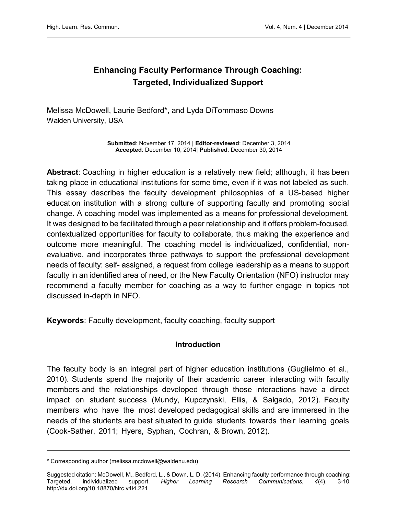# Enhancing Faculty Performance Through Coaching: Targeted, Individualized Support

Melissa McDowell, Laurie Bedford\*, and Lyda DiTommaso Downs Walden University, USA

> Submitted: November 17, 2014 | Editor-reviewed: December 3, 2014 Accepted: December 10, 2014| Published: December 30, 2014

Abstract: Coaching in higher education is a relatively new field; although, it has been taking place in educational institutions for some time, even if it was not labeled as such. This essay describes the faculty development philosophies of a US-based higher education institution with a strong culture of supporting faculty and promoting social change. A coaching model was implemented as a means for professional development. It was designed to be facilitated through a peer relationship and it offers problem-focused, contextualized opportunities for faculty to collaborate, thus making the experience and outcome more meaningful. The coaching model is individualized, confidential, nonevaluative, and incorporates three pathways to support the professional development needs of faculty: self- assigned, a request from college leadership as a means to support faculty in an identified area of need, or the New Faculty Orientation (NFO) instructor may recommend a faculty member for coaching as a way to further engage in topics not discussed in-depth in NFO.

Keywords: Faculty development, faculty coaching, faculty support

## Introduction

The faculty body is an integral part of higher education institutions (Guglielmo et al., 2010). Students spend the majority of their academic career interacting with faculty members and the relationships developed through those interactions have a direct impact on student success (Mundy, Kupczynski, Ellis, & Salgado, 2012). Faculty members who have the most developed pedagogical skills and are immersed in the needs of the students are best situated to guide students towards their learning goals (Cook-Sather, 2011; Hyers, Syphan, Cochran, & Brown, 2012).

<sup>\*</sup> Corresponding author (melissa.mcdowell@waldenu.edu)

Suggested citation: McDowell, M., Bedford, L., & Down, L. D. (2014). Enhancing faculty performance through coaching: Targeted, individualized support. Higher Learning Research Communications, 4(4), 3-10. <http://dx.doi.org/10.18870/hlrc.v4i4.221>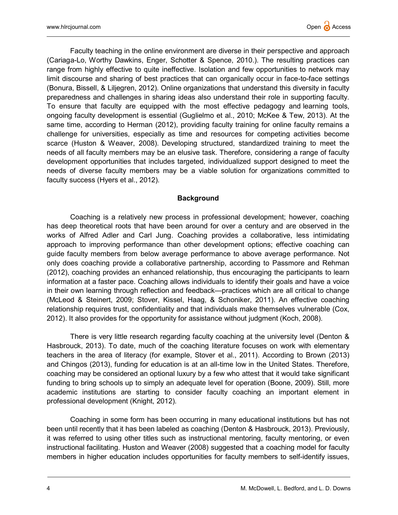Faculty teaching in the online environment are diverse in their perspective and approach (Cariaga-Lo, Worthy Dawkins, Enger, Schotter & Spence, 2010.). The resulting practices can range from highly effective to quite ineffective. Isolation and few opportunities to network may limit discourse and sharing of best practices that can organically occur in face-to-face settings (Bonura, Bissell, & Liljegren, 2012). Online organizations that understand this diversity in faculty preparedness and challenges in sharing ideas also understand their role in supporting faculty. To ensure that faculty are equipped with the most effective pedagogy and learning tools, ongoing faculty development is essential (Guglielmo et al., 2010; McKee & Tew, 2013). At the same time, according to Herman (2012), providing faculty training for online faculty remains a challenge for universities, especially as time and resources for competing activities become scarce (Huston & Weaver, 2008). Developing structured, standardized training to meet the needs of all faculty members may be an elusive task. Therefore, considering a range of faculty development opportunities that includes targeted, individualized support designed to meet the needs of diverse faculty members may be a viable solution for organizations committed to faculty success (Hyers et al., 2012).

## **Background**

Coaching is a relatively new process in professional development; however, coaching has deep theoretical roots that have been around for over a century and are observed in the works of Alfred Adler and Carl Jung. Coaching provides a collaborative, less intimidating approach to improving performance than other development options; effective coaching can guide faculty members from below average performance to above average performance. Not only does coaching provide a collaborative partnership, according to Passmore and Rehman (2012), coaching provides an enhanced relationship, thus encouraging the participants to learn information at a faster pace. Coaching allows individuals to identify their goals and have a voice in their own learning through reflection and feedback—practices which are all critical to change (McLeod & Steinert, 2009; Stover, Kissel, Haag, & Schoniker, 2011). An effective coaching relationship requires trust, confidentiality and that individuals make themselves vulnerable (Cox, 2012). It also provides for the opportunity for assistance without judgment (Koch, 2008).

There is very little research regarding faculty coaching at the university level (Denton & Hasbrouck, 2013). To date, much of the coaching literature focuses on work with elementary teachers in the area of literacy (for example, Stover et al., 2011). According to Brown (2013) and Chingos (2013), funding for education is at an all-time low in the United States. Therefore, coaching may be considered an optional luxury by a few who attest that it would take significant funding to bring schools up to simply an adequate level for operation (Boone, 2009). Still, more academic institutions are starting to consider faculty coaching an important element in professional development (Knight, 2012).

Coaching in some form has been occurring in many educational institutions but has not been until recently that it has been labeled as coaching (Denton & Hasbrouck, 2013). Previously, it was referred to using other titles such as instructional mentoring, faculty mentoring, or even instructional facilitating. Huston and Weaver (2008) suggested that a coaching model for faculty members in higher education includes opportunities for faculty members to self-identify issues,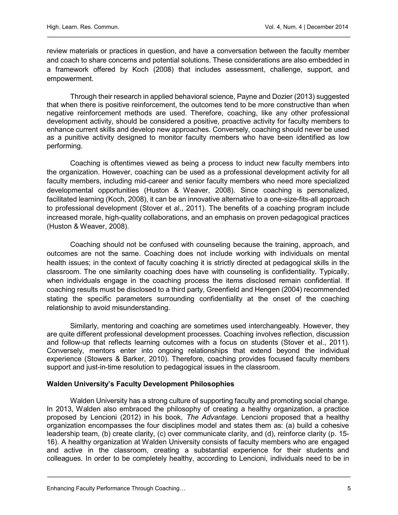review materials or practices in question, and have a conversation between the faculty member and coach to share concerns and potential solutions. These considerations are also embedded in a framework offered by Koch (2008) that includes assessment, challenge, support, and empowerment.

Through their research in applied behavioral science, Payne and Dozier (2013) suggested that when there is positive reinforcement, the outcomes tend to be more constructive than when negative reinforcement methods are used. Therefore, coaching, like any other professional development activity, should be considered a positive, proactive activity for faculty members to enhance current skills and develop new approaches. Conversely, coaching should never be used as a punitive activity designed to monitor faculty members who have been identified as low performing.

Coaching is oftentimes viewed as being a process to induct new faculty members into the organization. However, coaching can be used as a professional development activity for all faculty members, including mid-career and senior faculty members who need more specialized developmental opportunities (Huston & Weaver, 2008). Since coaching is personalized, facilitated learning (Koch, 2008), it can be an innovative alternative to a one-size-fits-all approach to professional development (Stover et al., 2011). The benefits of a coaching program include increased morale, high-quality collaborations, and an emphasis on proven pedagogical practices (Huston & Weaver, 2008).

Coaching should not be confused with counseling because the training, approach, and outcomes are not the same. Coaching does not include working with individuals on mental health issues; in the context of faculty coaching it is strictly directed at pedagogical skills in the classroom. The one similarity coaching does have with counseling is confidentiality. Typically, when individuals engage in the coaching process the items disclosed remain confidential. If coaching results must be disclosed to a third party, Greenfield and Hengen (2004) recommended stating the specific parameters surrounding confidentiality at the onset of the coaching relationship to avoid misunderstanding.

Similarly, mentoring and coaching are sometimes used interchangeably. However, they are quite different professional development processes. Coaching involves reflection, discussion and follow-up that reflects learning outcomes with a focus on students (Stover et al., 2011). Conversely, mentors enter into ongoing relationships that extend beyond the individual experience (Stowers & Barker, 2010). Therefore, coaching provides focused faculty members support and just-in-time resolution to pedagogical issues in the classroom.

## Walden University's Faculty Development Philosophies

Walden University has a strong culture of supporting faculty and promoting social change. In 2013, Walden also embraced the philosophy of creating a healthy organization, a practice proposed by Lencioni (2012) in his book, The Advantage. Lencioni proposed that a healthy organization encompasses the four disciplines model and states them as: (a) build a cohesive leadership team, (b) create clarity, (c) over communicate clarity, and (d), reinforce clarity (p. 15- 16). A healthy organization at Walden University consists of faculty members who are engaged and active in the classroom, creating a substantial experience for their students and colleagues. In order to be completely healthy, according to Lencioni, individuals need to be in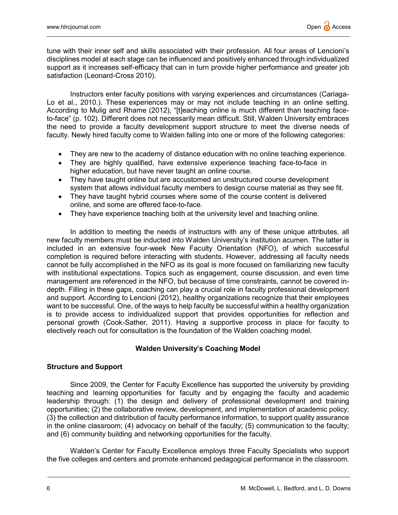tune with their inner self and skills associated with their profession. All four areas of Lencioni's disciplines model at each stage can be influenced and positively enhanced through individualized support as it increases self-efficacy that can in turn provide higher performance and greater job satisfaction (Leonard-Cross 2010).

Instructors enter faculty positions with varying experiences and circumstances (Cariaga-Lo et al., 2010.). These experiences may or may not include teaching in an online setting. According to Mulig and Rhame (2012), "[t]eaching online is much different than teaching faceto-face" (p. 102). Different does not necessarily mean difficult. Still, Walden University embraces the need to provide a faculty development support structure to meet the diverse needs of faculty. Newly hired faculty come to Walden falling into one or more of the following categories:

- They are new to the academy of distance education with no online teaching experience.
- They are highly qualified, have extensive experience teaching face-to-face in higher education, but have never taught an online course.
- They have taught online but are accustomed an unstructured course development system that allows individual faculty members to design course material as they see fit.
- They have taught hybrid courses where some of the course content is delivered online, and some are offered face-to-face.
- They have experience teaching both at the university level and teaching online.

In addition to meeting the needs of instructors with any of these unique attributes, all new faculty members must be inducted into Walden University's institution acumen. The latter is included in an extensive four-week New Faculty Orientation (NFO), of which successful completion is required before interacting with students. However, addressing all faculty needs cannot be fully accomplished in the NFO as its goal is more focused on familiarizing new faculty with institutional expectations. Topics such as engagement, course discussion, and even time management are referenced in the NFO, but because of time constraints, cannot be covered indepth. Filling in these gaps, coaching can play a crucial role in faculty professional development and support. According to Lencioni (2012), healthy organizations recognize that their employees want to be successful. One, of the ways to help faculty be successful within a healthy organization is to provide access to individualized support that provides opportunities for reflection and personal growth (Cook-Sather, 2011). Having a supportive process in place for faculty to electively reach out for consultation is the foundation of the Walden coaching model.

## Walden University's Coaching Model

## Structure and Support

Since 2009, the Center for Faculty Excellence has supported the university by providing teaching and learning opportunities for faculty and by engaging the faculty and academic leadership through: (1) the design and delivery of professional development and training opportunities; (2) the collaborative review, development, and implementation of academic policy; (3) the collection and distribution of faculty performance information, to support quality assurance in the online classroom; (4) advocacy on behalf of the faculty; (5) communication to the faculty; and (6) community building and networking opportunities for the faculty.

Walden's Center for Faculty Excellence employs three Faculty Specialists who support the five colleges and centers and promote enhanced pedagogical performance in the classroom.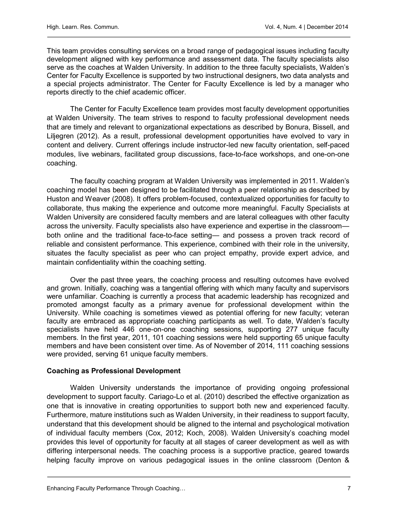This team provides consulting services on a broad range of pedagogical issues including faculty development aligned with key performance and assessment data. The faculty specialists also serve as the coaches at Walden University. In addition to the three faculty specialists, Walden's Center for Faculty Excellence is supported by two instructional designers, two data analysts and a special projects administrator. The Center for Faculty Excellence is led by a manager who reports directly to the chief academic officer.

The Center for Faculty Excellence team provides most faculty development opportunities at Walden University. The team strives to respond to faculty professional development needs that are timely and relevant to organizational expectations as described by Bonura, Bissell, and Liljegren (2012). As a result, professional development opportunities have evolved to vary in content and delivery. Current offerings include instructor-led new faculty orientation, self-paced modules, live webinars, facilitated group discussions, face-to-face workshops, and one-on-one coaching.

The faculty coaching program at Walden University was implemented in 2011. Walden's coaching model has been designed to be facilitated through a peer relationship as described by Huston and Weaver (2008). It offers problem-focused, contextualized opportunities for faculty to collaborate, thus making the experience and outcome more meaningful. Faculty Specialists at Walden University are considered faculty members and are lateral colleagues with other faculty across the university. Faculty specialists also have experience and expertise in the classroom both online and the traditional face-to-face setting— and possess a proven track record of reliable and consistent performance. This experience, combined with their role in the university, situates the faculty specialist as peer who can project empathy, provide expert advice, and maintain confidentiality within the coaching setting.

Over the past three years, the coaching process and resulting outcomes have evolved and grown. Initially, coaching was a tangential offering with which many faculty and supervisors were unfamiliar. Coaching is currently a process that academic leadership has recognized and promoted amongst faculty as a primary avenue for professional development within the University. While coaching is sometimes viewed as potential offering for new faculty; veteran faculty are embraced as appropriate coaching participants as well. To date, Walden's faculty specialists have held 446 one-on-one coaching sessions, supporting 277 unique faculty members. In the first year, 2011, 101 coaching sessions were held supporting 65 unique faculty members and have been consistent over time. As of November of 2014, 111 coaching sessions were provided, serving 61 unique faculty members.

## Coaching as Professional Development

Walden University understands the importance of providing ongoing professional development to support faculty. Cariago-Lo et al. (2010) described the effective organization as one that is innovative in creating opportunities to support both new and experienced faculty. Furthermore, mature institutions such as Walden University, in their readiness to support faculty, understand that this development should be aligned to the internal and psychological motivation of individual faculty members (Cox, 2012; Koch, 2008). Walden University's coaching model provides this level of opportunity for faculty at all stages of career development as well as with differing interpersonal needs. The coaching process is a supportive practice, geared towards helping faculty improve on various pedagogical issues in the online classroom (Denton &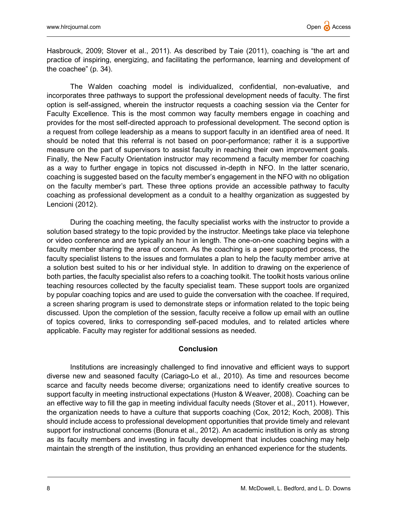Hasbrouck, 2009; Stover et al., 2011). As described by Taie (2011), coaching is "the art and practice of inspiring, energizing, and facilitating the performance, learning and development of the coachee" (p. 34).

The Walden coaching model is individualized, confidential, non-evaluative, and incorporates three pathways to support the professional development needs of faculty. The first option is self-assigned, wherein the instructor requests a coaching session via the Center for Faculty Excellence. This is the most common way faculty members engage in coaching and provides for the most self-directed approach to professional development. The second option is a request from college leadership as a means to support faculty in an identified area of need. It should be noted that this referral is not based on poor-performance; rather it is a supportive measure on the part of supervisors to assist faculty in reaching their own improvement goals. Finally, the New Faculty Orientation instructor may recommend a faculty member for coaching as a way to further engage in topics not discussed in-depth in NFO. In the latter scenario, coaching is suggested based on the faculty member's engagement in the NFO with no obligation on the faculty member's part. These three options provide an accessible pathway to faculty coaching as professional development as a conduit to a healthy organization as suggested by Lencioni (2012).

During the coaching meeting, the faculty specialist works with the instructor to provide a solution based strategy to the topic provided by the instructor. Meetings take place via telephone or video conference and are typically an hour in length. The one-on-one coaching begins with a faculty member sharing the area of concern. As the coaching is a peer supported process, the faculty specialist listens to the issues and formulates a plan to help the faculty member arrive at a solution best suited to his or her individual style. In addition to drawing on the experience of both parties, the faculty specialist also refers to a coaching toolkit. The toolkit hosts various online teaching resources collected by the faculty specialist team. These support tools are organized by popular coaching topics and are used to guide the conversation with the coachee. If required, a screen sharing program is used to demonstrate steps or information related to the topic being discussed. Upon the completion of the session, faculty receive a follow up email with an outline of topics covered, links to corresponding self-paced modules, and to related articles where applicable. Faculty may register for additional sessions as needed.

## Conclusion

Institutions are increasingly challenged to find innovative and efficient ways to support diverse new and seasoned faculty (Cariago-Lo et al., 2010). As time and resources become scarce and faculty needs become diverse; organizations need to identify creative sources to support faculty in meeting instructional expectations (Huston & Weaver, 2008). Coaching can be an effective way to fill the gap in meeting individual faculty needs (Stover et al., 2011). However, the organization needs to have a culture that supports coaching (Cox, 2012; Koch, 2008). This should include access to professional development opportunities that provide timely and relevant support for instructional concerns (Bonura et al., 2012). An academic institution is only as strong as its faculty members and investing in faculty development that includes coaching may help maintain the strength of the institution, thus providing an enhanced experience for the students.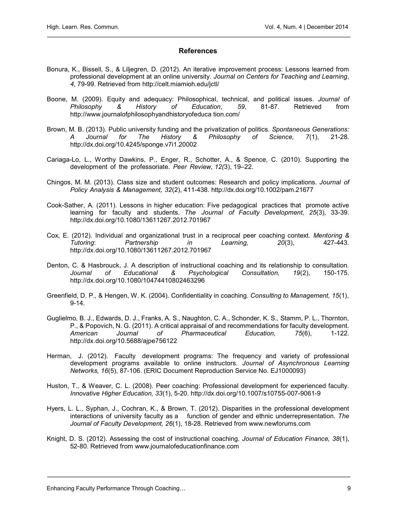## **References**

- Bonura, K., Bissell, S., & Liljegren, D. (2012). An iterative improvement process: Lessons learned from professional development at an online university. Journal on Centers for Teaching and Learning, 4, 79-99. Retrieved from http://celt.miamioh.edu/jctl/
- Boone, M. (2009). Equity and adequacy: Philosophical, technical, and political issues. Journal of Philosophy & History of Education, 59, 81-87. Retrieved from http://www.journalofphilosophyandhistoryofeduca tion.com/
- Brown, M. B. (2013). Public university funding and the privatization of politics. Spontaneous Generations: A Journal for The History & Philosophy of Science, 7(1), 21-28. http://dx.doi.org/10.4245/sponge.v7i1.20002
- Cariaga-Lo, L., Worthy Dawkins, P., Enger, R., Schotter, A., & Spence, C. (2010). Supporting the development of the professoriate. Peer Review, 12(3), 19–22.
- Chingos, M. M. (2013). Class size and student outcomes: Research and policy implications. Journal of Policy Analysis & Management, 32(2), 411-438. http://dx.doi.org/10.1002/pam.21677
- Cook-Sather, A. (2011). Lessons in higher education: Five pedagogical practices that promote active learning for faculty and students. The Journal of Faculty Development, 25(3), 33-39. http://dx.doi.org/10.1080/13611267.2012.701967
- Cox, E. (2012). Individual and organizational trust in a reciprocal peer coaching context. Mentoring & Tutoring: Partnership in Learning, 20(3), 427-443. http://dx.doi.org/10.1080/13611267.2012.701967
- Denton, C. & Hasbrouck, J. A description of instructional coaching and its relationship to consultation. Journal of Educational & Psychological Consultation, 19(2), 150-175. http://dx.doi.org/10.1080/10474410802463296
- Greenfield, D. P., & Hengen, W. K. (2004). Confidentiality in coaching. Consulting to Management, 15(1), 9-14.
- Guglielmo, B. J., Edwards, D. J., Franks, A. S., Naughton, C. A., Schonder, K. S., Stamm, P. L., Thornton, P., & Popovich, N. G. (2011). A critical appraisal of and recommendations for faculty development. American Journal of Pharmaceutical Education, 75(6), 1-122. http://dx.doi.org/10.5688/ajpe756122
- Herman, J. (2012). Faculty development programs: The frequency and variety of professional development programs available to online instructors. Journal of Asynchronous Learning Networks, 16(5), 87-106. (ERIC Document Reproduction Service No. EJ1000093)
- Huston, T., & Weaver, C. L. (2008). Peer coaching: Professional development for experienced faculty. Innovative Higher Education, 33(1), 5-20. http://dx.doi.org/10.1007/s10755-007-9061-9
- Hyers, L. L., Syphan, J., Cochran, K., & Brown, T. (2012). Disparities in the professional development interactions of university faculty as a function of gender and ethnic underrepresentation. The Journal of Faculty Development, 26(1), 18-28. Retrieved from www.newforums.com
- Knight, D. S. (2012). Assessing the cost of instructional coaching. Journal of Education Finance, 38(1), 52-80. Retrieved from www.journalofeducationfinance.com